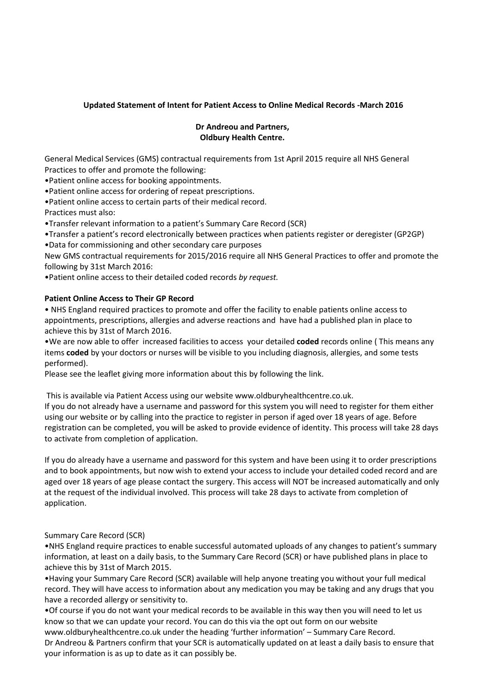## **Updated Statement of Intent for Patient Access to Online Medical Records -March 2016**

## **Dr Andreou and Partners, Oldbury Health Centre.**

General Medical Services (GMS) contractual requirements from 1st April 2015 require all NHS General Practices to offer and promote the following:

•Patient online access for booking appointments.

•Patient online access for ordering of repeat prescriptions.

•Patient online access to certain parts of their medical record.

Practices must also:

•Transfer relevant information to a patient's Summary Care Record (SCR)

•Transfer a patient's record electronically between practices when patients register or deregister (GP2GP) •Data for commissioning and other secondary care purposes

New GMS contractual requirements for 2015/2016 require all NHS General Practices to offer and promote the following by 31st March 2016:

•Patient online access to their detailed coded records *by request.* 

## **Patient Online Access to Their GP Record**

• NHS England required practices to promote and offer the facility to enable patients online access to appointments, prescriptions, allergies and adverse reactions and have had a published plan in place to achieve this by 31st of March 2016.

•We are now able to offer increased facilities to access your detailed **coded** records online ( This means any items **coded** by your doctors or nurses will be visible to you including diagnosis, allergies, and some tests performed).

Please see the leaflet giving more information about this by following the link.

This is available via Patient Access using our website www.oldburyhealthcentre.co.uk. If you do not already have a username and password for this system you will need to register for them either using our website or by calling into the practice to register in person if aged over 18 years of age. Before registration can be completed, you will be asked to provide evidence of identity. This process will take 28 days

to activate from completion of application.

If you do already have a username and password for this system and have been using it to order prescriptions and to book appointments, but now wish to extend your access to include your detailed coded record and are aged over 18 years of age please contact the surgery. This access will NOT be increased automatically and only at the request of the individual involved. This process will take 28 days to activate from completion of application.

## Summary Care Record (SCR)

•NHS England require practices to enable successful automated uploads of any changes to patient's summary information, at least on a daily basis, to the Summary Care Record (SCR) or have published plans in place to achieve this by 31st of March 2015.

•Having your Summary Care Record (SCR) available will help anyone treating you without your full medical record. They will have access to information about any medication you may be taking and any drugs that you have a recorded allergy or sensitivity to.

•Of course if you do not want your medical records to be available in this way then you will need to let us know so that we can update your record. You can do this via the opt out form on our website

www.oldburyhealthcentre.co.uk under the heading 'further information' – Summary Care Record. Dr Andreou & Partners confirm that your SCR is automatically updated on at least a daily basis to ensure that your information is as up to date as it can possibly be.